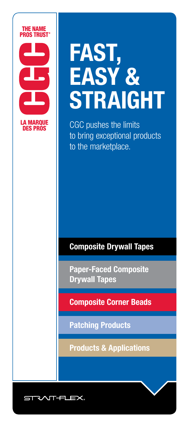

# Fast, Easy & **STRAIGHT**

CGC pushes the limits to bring exceptional products to the marketplace.

### Composite Drywall Tapes

Paper-Faced Composite Drywall Tapes

Composite Corner Beads

Patching Products

Products & Applications

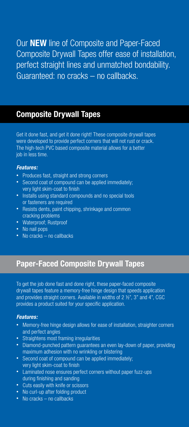Our **NEW** line of Composite and Paper-Faced Composite Drywall Tapes offer ease of installation, perfect straight lines and unmatched bondability. Guaranteed: no cracks – no callbacks.

#### Composite Drywall Tapes

Get it done fast, and get it done right! These composite drywall tapes were developed to provide perfect corners that will not rust or crack. The high-tech PVC based composite material allows for a better job in less time.

#### *Features:*

- Produces fast, straight and strong corners
- Second coat of compound can be applied immediately: very light skim-coat to finish
- Installs using standard compounds and no special tools or fasteners are required
- Resists dents, paint chipping, shrinkage and common cracking problems
- Waterproof; Rustproof
- No nail pops
- No cracks no callbacks

#### Paper-Faced Composite Drywall Tapes

To get the job done fast and done right, these paper-faced composite drywall tapes feature a memory-free hinge design that speeds application and provides straight corners. Available in widths of 2 ½", 3" and 4", CGC provides a product suited for your specific application.

#### *Features:*

- Memory-free hinge design allows for ease of installation, straighter corners and perfect angles
- Straightens most framing irregularities
- Diamond-punched pattern guarantees an even lay-down of paper, providing maximum adhesion with no wrinkling or blistering
- Second coat of compound can be applied immediately; very light skim-coat to finish
- Laminated nose ensures perfect corners without paper fuzz-ups during finishing and sanding
- Cuts easily with knife or scissors
- No curl-up after folding product
- No cracks no callbacks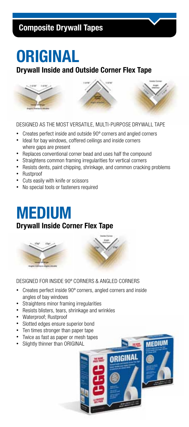### Composite Drywall Tapes

# ORIGINAL

Drywall Inside and Outside Corner Flex Tape







#### DESIGNED AS THE MOST VERSATILE, MULTI-PURPOSE DRYWALL TAPE

- Creates perfect inside and outside 90º corners and angled corners
- Ideal for bay windows, coffered ceilings and inside corners where gaps are present
- Replaces conventional corner bead and uses half the compound
- Straightens common framing irregularities for vertical corners
- Resists dents, paint chipping, shrinkage, and common cracking problems
- Rustproof
- Cuts easily with knife or scissors
- No special tools or fasteners required

## MEDIUM

#### Drywall Inside Corner Flex Tape





DESIGNED FOR INSIDE 90º CORNERS & ANGLED CORNERS

- Creates perfect inside 90º corners, angled corners and inside angles of bay windows
- Straightens minor framing irregularities
- Resists blisters, tears, shrinkage and wrinkles
- Waterproof; Rustproof
- Slotted edges ensure superior bond
- Ten times stronger than paper tape
- Twice as fast as paper or mesh tapes
- Slightly thinner than ORIGINAL



EDIU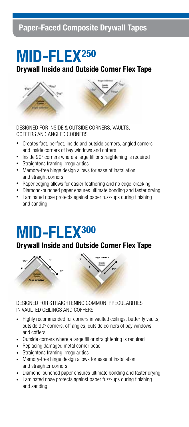### Paper-Faced Composite Drywall Tapes

# MID-FLEX<sup>250</sup>

#### Drywall Inside and Outside Corner Flex Tape





DESIGNED FOR INSIDE & OUTSIDE CORNERS, VAULTS, COFFERS AND ANGLED CORNERS

- Creates fast, perfect, inside and outside corners, angled corners and inside corners of bay windows and coffers
- Inside 90º corners where a large fill or straightening is required
- Straightens framing irregularities
- Memory-free hinge design allows for ease of installation and straight corners
- Paper edging allows for easier feathering and no edge-cracking
- Diamond-punched paper ensures ultimate bonding and faster drying
- Laminated nose protects against paper fuzz-ups during finishing and sanding

## MID-FLEX<sup>300</sup>

#### Drywall Inside and Outside Corner Flex Tape



DESIGNED FOR STRAIGHTENING COMMON IRREGULARITIES IN VAULTED CEILINGS AND COFFERS

- Highly recommended for corners in vaulted ceilings, butterfly vaults, outside 90º corners, off angles, outside corners of bay windows and coffers
- Outside corners where a large fill or straightening is required
- Replacing damaged metal corner bead
- Straightens framing irregularities
- Memory-free hinge design allows for ease of installation and straighter corners
- Diamond-punched paper ensures ultimate bonding and faster drying
- Laminated nose protects against paper fuzz-ups during finishing and sanding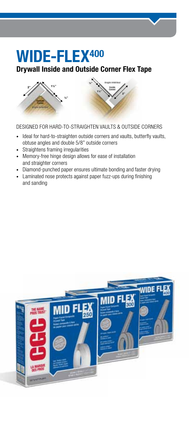## WIDE-FLEX<sup>400</sup>

#### Drywall Inside and Outside Corner Flex Tape





DESIGNED FOR HARD-TO-STRAIGHTEN VAULTS & OUTSIDE CORNERS

- Ideal for hard-to-straighten outside corners and vaults, butterfly vaults, obtuse angles and double 5/8" outside corners
- Straightens framing irregularities
- Memory-free hinge design allows for ease of installation and straighter corners
- Diamond-punched paper ensures ultimate bonding and faster drying
- Laminated nose protects against paper fuzz-ups during finishing and sanding

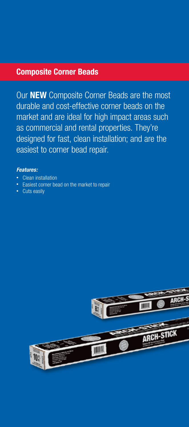#### Composite Corner Beads

Our **NEW** Composite Corner Beads are the most durable and cost-effective corner beads on the market and are ideal for high impact areas such as commercial and rental properties. They're designed for fast, clean installation; and are the easiest to corner bead repair.

#### *Features:*

- Clean installation
- Easiest corner bead on the market to repair
- **Cuts easily**

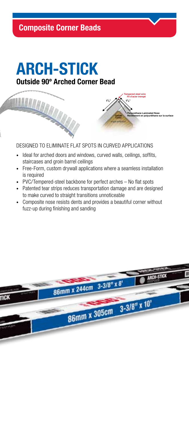#### Composite Corner Beads

# ARCH-STICK

**THILIPP** 

#### Outside 90º Arched Corner Bead

#### DESIGNED TO ELIMINATE FLAT SPOTS IN CURVED APPLICATIONS

**15** /**8" 1<sup>5</sup>** /**8" Tempered steel wire Fil d'acier trempé**

> **Polyurethane Laminated Nose Revêtement en polyuréthane sur la surface**

- Ideal for arched doors and windows, curved walls, ceilings, soffits, staircases and groin barrel ceilings
- Free-Form, custom drywall applications where a seamless installation is required
- PVC/Tempered-steel backbone for perfect arches No flat spots
- Patented tear strips reduces transportation damage and are designed to make curved to straight transitions unnoticeable
- Composite nose resists dents and provides a beautiful corner without fuzz-up during finishing and sanding

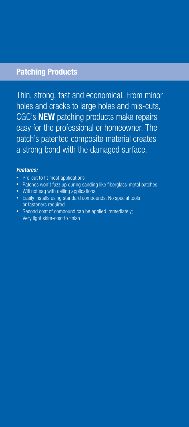#### **Patching Products**

Thin, strong, fast and economical. From minor holes and cracks to large holes and mis-cuts, CGC's **NEW** patching products make repairs easy for the professional or homeowner. The patch's patented composite material creates a strong bond with the damaged surface.

#### *Features:*

- Pre-cut to fit most applications
- Patches won't fuzz up during sanding like fiberglass-metal patches
- Will not sag with ceiling applications
- Easily installs using standard compounds. No special tools or fasteners required
- Second coat of compound can be applied immediately; Very light skim-coat to finish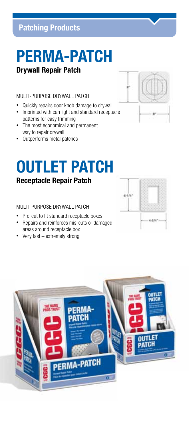### Patching Products

### PERMA-PATCH Drywall Repair Patch

MULTI-PURPOSE DRYWALL PATCH

- Quickly repairs door knob damage to drywall
- Imprinted with can light and standard receptacle patterns for easy trimming
- The most economical and permanent way to repair drywall
- Outperforms metal patches

# OUTLET PATCH

#### Receptacle Repair Patch

MULTI-PURPOSE DRYWALL PATCH

- Pre-cut to fit standard receptacle boxes
- Repairs and reinforces mis-cuts or damaged areas around receptacle box
- Very fast extremely strong





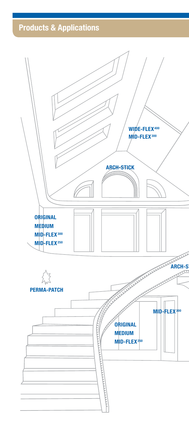### Products & Applications

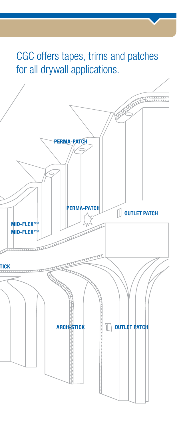